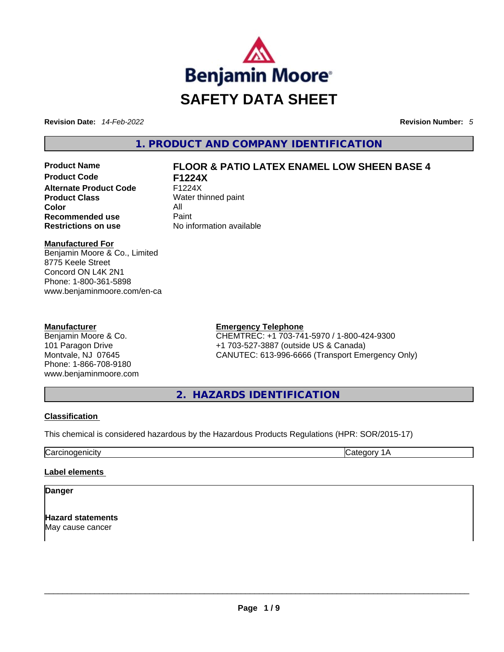

**Revision Date:** *14-Feb-2022* **Revision Number:** *5*

**1. PRODUCT AND COMPANY IDENTIFICATION** 

**Product Code F1224X Alternate Product Code** F1224X **Product Class** Water thinned paint **Color** All **Recommended use Paint Restrictions on use** No information available

# **Product Name FLOOR & PATIO LATEX ENAMEL LOW SHEEN BASE 4**

#### **Manufactured For**

Benjamin Moore & Co., Limited 8775 Keele Street Concord ON L4K 2N1 Phone: 1-800-361-5898 www.benjaminmoore.com/en-ca

#### **Manufacturer**

Benjamin Moore & Co. 101 Paragon Drive Montvale, NJ 07645 Phone: 1-866-708-9180 www.benjaminmoore.com

#### **Emergency Telephone**

CHEMTREC: +1 703-741-5970 / 1-800-424-9300 +1 703-527-3887 (outside US & Canada) CANUTEC: 613-996-6666 (Transport Emergency Only)

**2. HAZARDS IDENTIFICATION** 

#### **Classification**

This chemical is considered hazardous by the Hazardous Products Regulations (HPR: SOR/2015-17)

**Carcinogenicity** Carcinogenicity **Category 1A** 

#### **Label elements**

**Danger** 

**Hazard statements** May cause cancer \_\_\_\_\_\_\_\_\_\_\_\_\_\_\_\_\_\_\_\_\_\_\_\_\_\_\_\_\_\_\_\_\_\_\_\_\_\_\_\_\_\_\_\_\_\_\_\_\_\_\_\_\_\_\_\_\_\_\_\_\_\_\_\_\_\_\_\_\_\_\_\_\_\_\_\_\_\_\_\_\_\_\_\_\_\_\_\_\_\_\_\_\_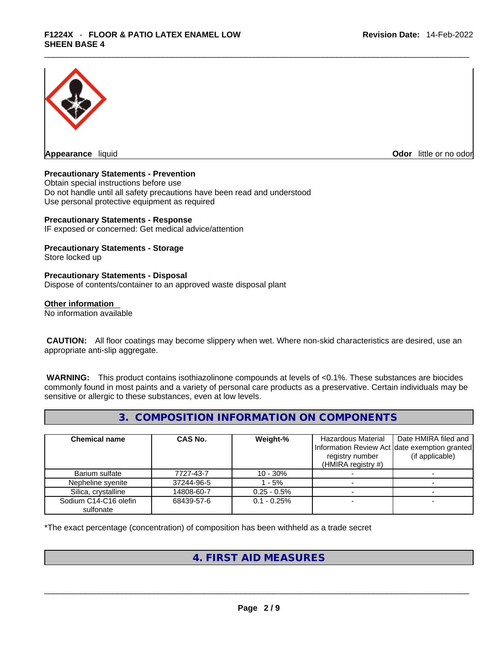

**Appearance** liquid

**Odor** little or no odor

#### **Precautionary Statements - Prevention**

Obtain special instructions before use Do not handle until all safety precautions have been read and understood Use personal protective equipment as required

#### **Precautionary Statements - Response**

IF exposed or concerned: Get medical advice/attention

# **Precautionary Statements - Storage**

Store locked up

#### **Precautionary Statements - Disposal**

Dispose of contents/container to an approved waste disposal plant

#### **Other information**

No information available

 **CAUTION:** All floor coatings may become slippery when wet. Where non-skid characteristics are desired, use an appropriate anti-slip aggregate.

 **WARNING:** This product contains isothiazolinone compounds at levels of <0.1%. These substances are biocides commonly found in most paints and a variety of personal care products as a preservative. Certain individuals may be sensitive or allergic to these substances, even at low levels.

## **3. COMPOSITION INFORMATION ON COMPONENTS**

| <b>Chemical name</b>               | <b>CAS No.</b> | Weight-%       | Hazardous Material<br>registry number<br>(HMIRA registry $#$ ) | Date HMIRA filed and<br>Information Review Act date exemption granted<br>(if applicable) |
|------------------------------------|----------------|----------------|----------------------------------------------------------------|------------------------------------------------------------------------------------------|
| Barium sulfate                     | 7727-43-7      | $10 - 30%$     |                                                                |                                                                                          |
| Nepheline syenite                  | 37244-96-5     | $-5%$          |                                                                |                                                                                          |
| Silica, crystalline                | 14808-60-7     | $0.25 - 0.5%$  |                                                                |                                                                                          |
| Sodium C14-C16 olefin<br>sulfonate | 68439-57-6     | $0.1 - 0.25\%$ |                                                                |                                                                                          |

\*The exact percentage (concentration) of composition has been withheld as a trade secret

#### **4. FIRST AID MEASURES**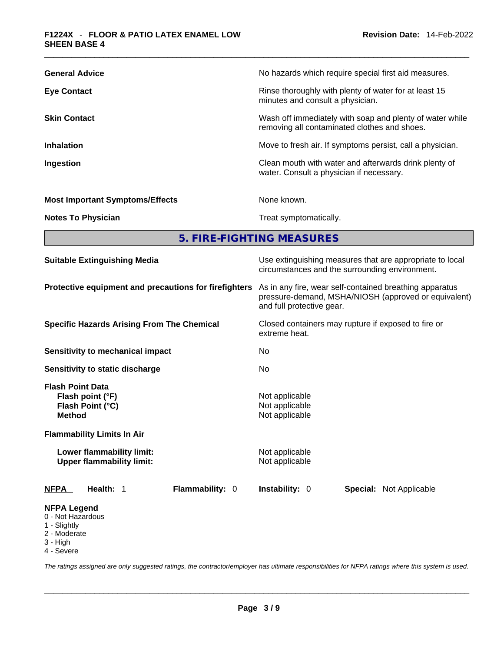| <b>General Advice</b>                  | No hazards which require special first aid measures.                                                     |
|----------------------------------------|----------------------------------------------------------------------------------------------------------|
| <b>Eye Contact</b>                     | Rinse thoroughly with plenty of water for at least 15<br>minutes and consult a physician.                |
| <b>Skin Contact</b>                    | Wash off immediately with soap and plenty of water while<br>removing all contaminated clothes and shoes. |
| <b>Inhalation</b>                      | Move to fresh air. If symptoms persist, call a physician.                                                |
| Ingestion                              | Clean mouth with water and afterwards drink plenty of<br>water. Consult a physician if necessary.        |
| <b>Most Important Symptoms/Effects</b> | None known.                                                                                              |
| <b>Notes To Physician</b>              | Treat symptomatically.                                                                                   |
|                                        |                                                                                                          |

**5. FIRE-FIGHTING MEASURES** 

| <b>Suitable Extinguishing Media</b>                                                                                                                                                    | Use extinguishing measures that are appropriate to local<br>circumstances and the surrounding environment.                                   |  |  |
|----------------------------------------------------------------------------------------------------------------------------------------------------------------------------------------|----------------------------------------------------------------------------------------------------------------------------------------------|--|--|
| Protective equipment and precautions for firefighters                                                                                                                                  | As in any fire, wear self-contained breathing apparatus<br>pressure-demand, MSHA/NIOSH (approved or equivalent)<br>and full protective gear. |  |  |
| <b>Specific Hazards Arising From The Chemical</b>                                                                                                                                      | Closed containers may rupture if exposed to fire or<br>extreme heat.                                                                         |  |  |
| Sensitivity to mechanical impact                                                                                                                                                       | No.                                                                                                                                          |  |  |
| Sensitivity to static discharge                                                                                                                                                        | No                                                                                                                                           |  |  |
| <b>Flash Point Data</b><br>Flash point (°F)<br>Flash Point (°C)<br><b>Method</b><br><b>Flammability Limits In Air</b><br>Lower flammability limit:<br><b>Upper flammability limit:</b> | Not applicable<br>Not applicable<br>Not applicable<br>Not applicable<br>Not applicable                                                       |  |  |
| Flammability: 0<br><b>NFPA</b><br>Health: 1                                                                                                                                            | <b>Instability: 0</b><br><b>Special: Not Applicable</b>                                                                                      |  |  |
| <b>NFPA Legend</b><br>0 - Not Hazardous<br>1 - Slightly<br>2 - Moderate<br>3 - High                                                                                                    |                                                                                                                                              |  |  |

4 - Severe

*The ratings assigned are only suggested ratings, the contractor/employer has ultimate responsibilities for NFPA ratings where this system is used.*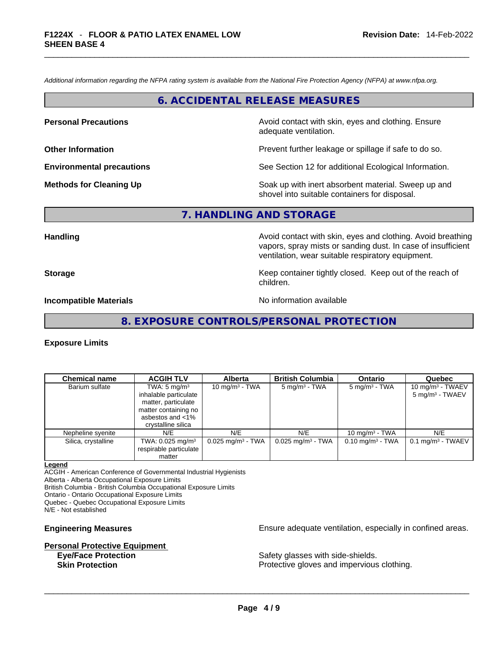*Additional information regarding the NFPA rating system is available from the National Fire Protection Agency (NFPA) at www.nfpa.org.* 

#### **6. ACCIDENTAL RELEASE MEASURES**

**Personal Precautions Avoid contact with skin, eyes and clothing. Ensure Personal Precautions** adequate ventilation.

**Other Information Other Information Prevent further leakage or spillage if safe to do so.** 

**Environmental precautions** See Section 12 for additional Ecological Information.

**Methods for Cleaning Up Example 20 All 20 All 20 All 20 Soak** up with inert absorbent material. Sweep up and shovel into suitable containers for disposal.

### **7. HANDLING AND STORAGE**

**Handling Handling Avoid contact with skin, eyes and clothing. Avoid breathing** vapors, spray mists or sanding dust. In case of insufficient ventilation, wear suitable respiratory equipment.

**Storage Example 2 Keep container tightly closed.** Keep out of the reach of

**Incompatible Materials Materials** No information available

**8. EXPOSURE CONTROLS/PERSONAL PROTECTION** 

children.

#### **Exposure Limits**

| <b>Chemical name</b> | <b>ACGIH TLV</b>                                                                                                    | <b>Alberta</b>                  | <b>British Columbia</b>         | <b>Ontario</b>              | Quebec                                             |
|----------------------|---------------------------------------------------------------------------------------------------------------------|---------------------------------|---------------------------------|-----------------------------|----------------------------------------------------|
| Barium sulfate       | TWA: $5 \text{ mg/m}^3$<br>inhalable particulate<br>matter, particulate<br>matter containing no<br>asbestos and <1% | 10 mg/m $3$ - TWA               | $5 \text{ mg/m}^3$ - TWA        | $5 \text{ mg/m}^3$ - TWA    | 10 mg/m $3$ - TWAEV<br>5 mg/m <sup>3</sup> - TWAEV |
|                      | crystalline silica                                                                                                  |                                 |                                 |                             |                                                    |
| Nepheline syenite    | N/E                                                                                                                 | N/E                             | N/E                             | 10 mg/m $3$ - TWA           | N/E                                                |
| Silica, crystalline  | TWA: 0.025 mg/m <sup>3</sup><br>respirable particulate<br>matter                                                    | $0.025$ mg/m <sup>3</sup> - TWA | $0.025$ mg/m <sup>3</sup> - TWA | $0.10 \text{ mg/m}^3$ - TWA | $0.1 \text{ mg/m}^3$ - TWAEV                       |

#### **Legend**

ACGIH - American Conference of Governmental Industrial Hygienists Alberta - Alberta Occupational Exposure Limits British Columbia - British Columbia Occupational Exposure Limits

Ontario - Ontario Occupational Exposure Limits

Quebec - Quebec Occupational Exposure Limits

N/E - Not established

# **Personal Protective Equipment**

**Engineering Measures Ensure** Ensure adequate ventilation, especially in confined areas.

**Eye/Face Protection Safety glasses with side-shields. Skin Protection Protection Protective gloves and impervious clothing.**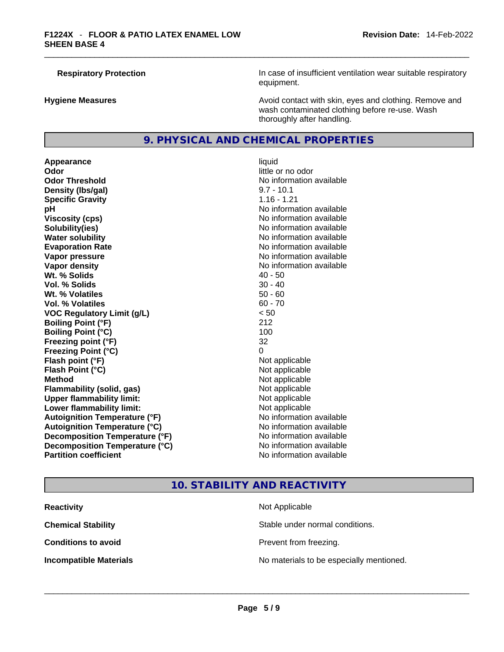**Respiratory Protection In case of insufficient ventilation wear suitable respiratory** equipment.

**Hygiene Measures Avoid contact with skin, eyes and clothing. Remove and Avoid contact with skin, eyes and clothing. Remove and Avoid contact with skin, eyes and clothing. Remove and** wash contaminated clothing before re-use. Wash thoroughly after handling.

#### **9. PHYSICAL AND CHEMICAL PROPERTIES**

**Appearance** liquid **Odor Odor Odor Odor Odor Odor** *little* **or no odor Odor Threshold** No information available **Density (Ibs/gal)** 8.7 - 10.1<br> **Specific Gravity** 8.16 - 1.21 **Specific Gravity pH bH** *pH* **Viscosity (cps) Viscosity (cps) No information available Solubility(ies)** No information available **Water solubility No information available No information available Evaporation Rate Note 2008 No information available Note 2008 No information available Vapor pressure No information available No information available Vapor density No information available No information available Wt. % Solids** 40 - 50 **Vol. % Solids** 30 - 40 **Wt. % Volatiles** 50 - 60 **Vol. % Volatiles VOC Regulatory Limit (g/L)** < 50 **Boiling Point (°F)** 212 **Boiling Point (°C)** 100 **Freezing point (°F)** 32 **Freezing Point (°C)** 0 **Flash point (°F)** Not applicable **Flash Point (°C)** Not applicable **Method** Not applicable **Flammability (solid, gas)**<br> **Upper flammability limit:**<br>
Upper flammability limit:<br>  $\begin{array}{ccc}\n\bullet & \bullet & \bullet \\
\bullet & \bullet & \bullet\n\end{array}$  Not applicable **Upper flammability limit:**<br> **Lower flammability limit:**<br>
Not applicable<br>
Not applicable **Lower flammability limit:**<br> **Autoignition Temperature (°F)** Not applicable havailable **Autoignition Temperature (°F) Autoignition Temperature (°C)** No information available **Decomposition Temperature (°F)** No information available **Decomposition Temperature (°C)** No information available **Partition coefficient** and the settlement of the settlement of the No information available

## **10. STABILITY AND REACTIVITY**

**Reactivity Not Applicable Not Applicable Chemical Stability** Stable under normal conditions. **Conditions to avoid Prevent from freezing. Incompatible Materials** No materials to be especially mentioned. \_\_\_\_\_\_\_\_\_\_\_\_\_\_\_\_\_\_\_\_\_\_\_\_\_\_\_\_\_\_\_\_\_\_\_\_\_\_\_\_\_\_\_\_\_\_\_\_\_\_\_\_\_\_\_\_\_\_\_\_\_\_\_\_\_\_\_\_\_\_\_\_\_\_\_\_\_\_\_\_\_\_\_\_\_\_\_\_\_\_\_\_\_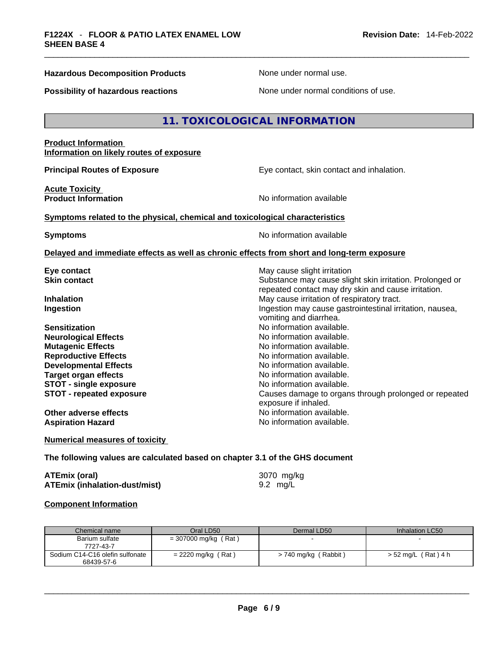#### **Hazardous Decomposition Products** None under normal use.

**Possibility of hazardous reactions** None under normal conditions of use.

#### **11. TOXICOLOGICAL INFORMATION**

## **Product Information Information on likely routes of exposure Principal Routes of Exposure Exposure** Eye contact, skin contact and inhalation. **Acute Toxicity Product Information Information No information available <u>Symptoms related to the physical, chemical and toxicological characteristics</u> Symptoms Symptoms No information available Delayed and immediate effects as well as chronic effects from short and long-term exposure Eye contact Exercise 2018** May cause slight irritation **Skin contact Substance may cause slight skin irritation.** Prolonged or repeated contact may dry skin and cause irritation. **Inhalation Inhalation Inhalation May cause irritation of respiratory tract. Ingestion Ingestion Index is a linear in the line of the line of the line of the line of the line of the line of the line of the line of the line of the line of the line of the line of the line of the line of the line** vomiting and diarrhea. **Sensitization No information available.** No information available. **Neurological Effects**<br> **No information available.**<br> **No information available**<br>
No information available **Mutagenic Effects Reproductive Effects No information available. Developmental Effects No information available.**<br> **No information available.**<br>
No information available. **Target organ effects STOT** - single exposure<br> **STOT** - repeated exposure<br> **STOT** - repeated exposure<br> **STOT** - repeated exposure **STOT - repeated exposure** Causes damage to organs through prolonged or repeated exposure if inhaled. **Other adverse effects No information available. Aspiration Hazard**  No information available.

**Numerical measures of toxicity**

#### **The following values are calculated based on chapter 3.1 of the GHS document**

| <b>ATEmix (oral)</b>                 | 3070 mg/kg |
|--------------------------------------|------------|
| <b>ATEmix (inhalation-dust/mist)</b> | 9.2 mg/L   |

#### **Component Information**

| Chemical name                                 | Oral LD50              | Dermal LD50              | Inhalation LC50     |
|-----------------------------------------------|------------------------|--------------------------|---------------------|
| Barium sulfate<br>7727-43-7                   | $= 307000$ mg/kg (Rat) | $\overline{\phantom{0}}$ |                     |
| Sodium C14-C16 olefin sulfonate<br>68439-57-6 | $= 2220$ mg/kg (Rat)   | > 740 mg/kg (Rabbit)     | > 52 mg/L (Rat) 4 h |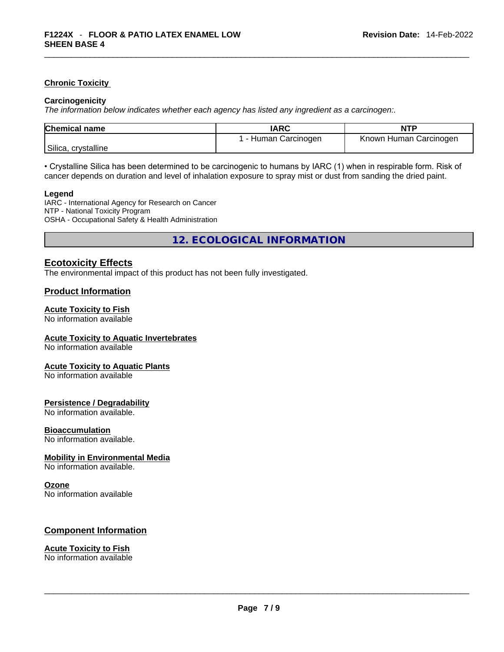#### **Chronic Toxicity**

#### **Carcinogenicity**

*The information below indicates whether each agency has listed any ingredient as a carcinogen:.* 

| <b>Chemical name</b> | <b>IARC</b>          | <b>NTP</b>             |
|----------------------|----------------------|------------------------|
|                      | l - Human Carcinogen | Known Human Carcinogen |
| Silica, crystalline  |                      |                        |

• Crystalline Silica has been determined to be carcinogenic to humans by IARC (1) when in respirable form. Risk of cancer depends on duration and level of inhalation exposure to spray mist or dust from sanding the dried paint.

#### **Legend**

IARC - International Agency for Research on Cancer NTP - National Toxicity Program OSHA - Occupational Safety & Health Administration

**12. ECOLOGICAL INFORMATION** 

#### **Ecotoxicity Effects**

The environmental impact of this product has not been fully investigated.

#### **Product Information**

#### **Acute Toxicity to Fish**

No information available

#### **Acute Toxicity to Aquatic Invertebrates**

No information available

#### **Acute Toxicity to Aquatic Plants**

No information available

#### **Persistence / Degradability**

No information available.

#### **Bioaccumulation**

No information available.

#### **Mobility in Environmental Media**

No information available.

#### **Ozone**

No information available

#### **Component Information**

# **Acute Toxicity to Fish**

No information available \_\_\_\_\_\_\_\_\_\_\_\_\_\_\_\_\_\_\_\_\_\_\_\_\_\_\_\_\_\_\_\_\_\_\_\_\_\_\_\_\_\_\_\_\_\_\_\_\_\_\_\_\_\_\_\_\_\_\_\_\_\_\_\_\_\_\_\_\_\_\_\_\_\_\_\_\_\_\_\_\_\_\_\_\_\_\_\_\_\_\_\_\_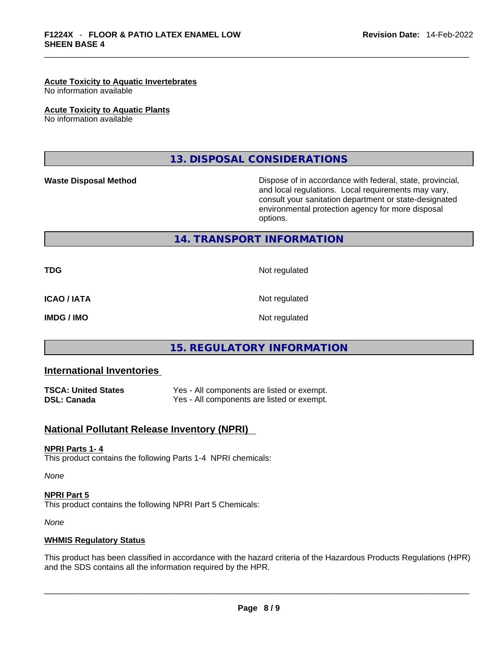#### **Acute Toxicity to Aquatic Invertebrates**

No information available

**Acute Toxicity to Aquatic Plants**

No information available

**13. DISPOSAL CONSIDERATIONS** 

**Waste Disposal Method** Dispose of in accordance with federal, state, provincial, and local regulations. Local requirements may vary, consult your sanitation department or state-designated environmental protection agency for more disposal options.

**14. TRANSPORT INFORMATION** 

**TDG** Not regulated

**ICAO / IATA** Not regulated

**IMDG / IMO** Not regulated

#### **15. REGULATORY INFORMATION**

#### **International Inventories**

**TSCA: United States Yes - All components are listed or exempt.**<br> **DSL: Canada Yes - All components are listed or exempt.** Yes - All components are listed or exempt.

#### **National Pollutant Release Inventory (NPRI)**

#### **NPRI Parts 1- 4**

This product contains the following Parts 1-4 NPRI chemicals:

*None*

#### **NPRI Part 5** This product contains the following NPRI Part 5 Chemicals:

*None*

#### **WHMIS Regulatory Status**

This product has been classified in accordance with the hazard criteria of the Hazardous Products Regulations (HPR) and the SDS contains all the information required by the HPR.